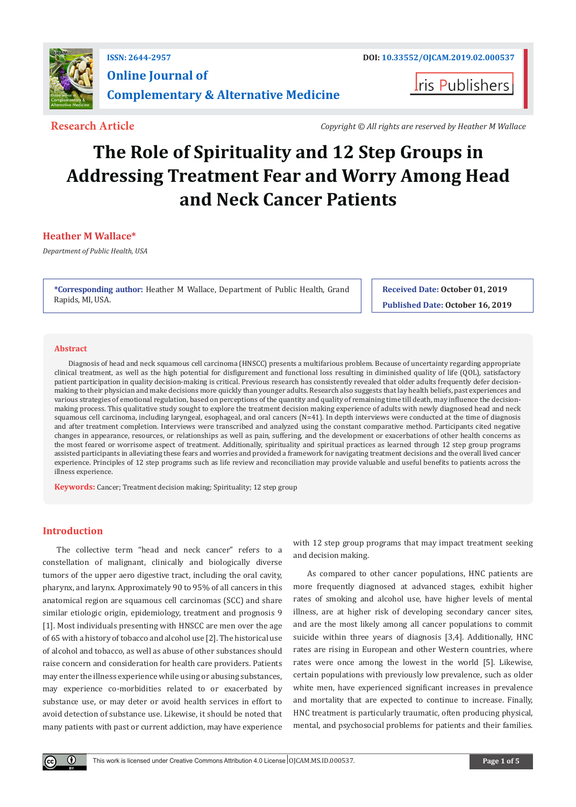

## **ISSN: 2644-2957 DOI: [10.33552/OJCAM.2019.02.000537](http://dx.doi.org/10.33552/OJCAM.2019.02.000537) Online Journal of Complementary & Alternative Medicine**

**Research Article** *Copyright © All rights are reserved by Heather M Wallace*

**I**ris Publishers

# **The Role of Spirituality and 12 Step Groups in Addressing Treatment Fear and Worry Among Head and Neck Cancer Patients**

#### **Heather M Wallace\***

*Department of Public Health, USA*

**\*Corresponding author:** Heather M Wallace, Department of Public Health, Grand Rapids, MI, USA.

**Received Date: October 01, 2019 Published Date: October 16, 2019**

#### **Abstract**

Diagnosis of head and neck squamous cell carcinoma (HNSCC) presents a multifarious problem. Because of uncertainty regarding appropriate clinical treatment, as well as the high potential for disfigurement and functional loss resulting in diminished quality of life (QOL), satisfactory patient participation in quality decision-making is critical. Previous research has consistently revealed that older adults frequently defer decisionmaking to their physician and make decisions more quickly than younger adults. Research also suggests that lay health beliefs, past experiences and various strategies of emotional regulation, based on perceptions of the quantity and quality of remaining time till death, may influence the decisionmaking process. This qualitative study sought to explore the treatment decision making experience of adults with newly diagnosed head and neck squamous cell carcinoma, including laryngeal, esophageal, and oral cancers (N=41). In depth interviews were conducted at the time of diagnosis and after treatment completion. Interviews were transcribed and analyzed using the constant comparative method. Participants cited negative changes in appearance, resources, or relationships as well as pain, suffering, and the development or exacerbations of other health concerns as the most feared or worrisome aspect of treatment. Additionally, spirituality and spiritual practices as learned through 12 step group programs assisted participants in alleviating these fears and worries and provided a framework for navigating treatment decisions and the overall lived cancer experience. Principles of 12 step programs such as life review and reconciliation may provide valuable and useful benefits to patients across the illness experience.

**Keywords:** Cancer; Treatment decision making; Spirituality; 12 step group

### **Introduction**

 $\bf \Theta$ 

The collective term "head and neck cancer" refers to a constellation of malignant, clinically and biologically diverse tumors of the upper aero digestive tract, including the oral cavity, pharynx, and larynx. Approximately 90 to 95% of all cancers in this anatomical region are squamous cell carcinomas (SCC) and share similar etiologic origin, epidemiology, treatment and prognosis 9 [1]. Most individuals presenting with HNSCC are men over the age of 65 with a history of tobacco and alcohol use [2]. The historical use of alcohol and tobacco, as well as abuse of other substances should raise concern and consideration for health care providers. Patients may enter the illness experience while using or abusing substances, may experience co-morbidities related to or exacerbated by substance use, or may deter or avoid health services in effort to avoid detection of substance use. Likewise, it should be noted that many patients with past or current addiction, may have experience

with 12 step group programs that may impact treatment seeking and decision making.

As compared to other cancer populations, HNC patients are more frequently diagnosed at advanced stages, exhibit higher rates of smoking and alcohol use, have higher levels of mental illness, are at higher risk of developing secondary cancer sites, and are the most likely among all cancer populations to commit suicide within three years of diagnosis [3,4]. Additionally, HNC rates are rising in European and other Western countries, where rates were once among the lowest in the world [5]. Likewise, certain populations with previously low prevalence, such as older white men, have experienced significant increases in prevalence and mortality that are expected to continue to increase. Finally, HNC treatment is particularly traumatic, often producing physical, mental, and psychosocial problems for patients and their families.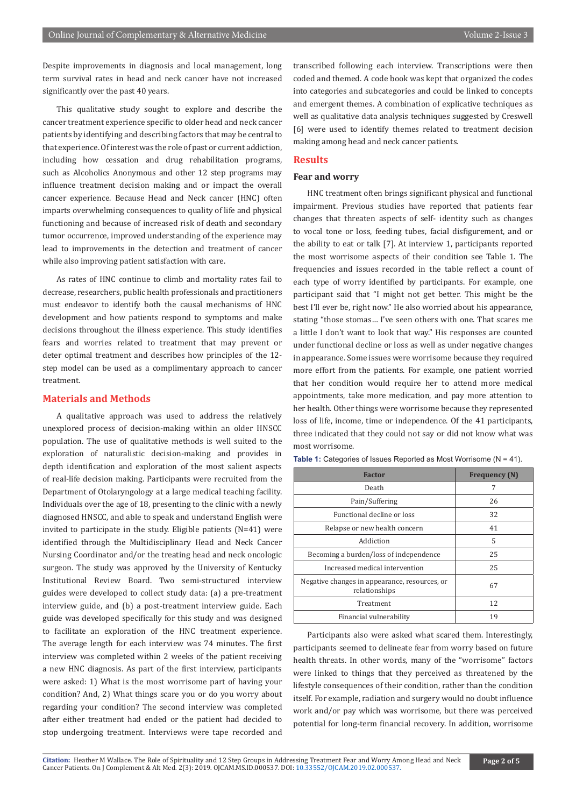Despite improvements in diagnosis and local management, long term survival rates in head and neck cancer have not increased significantly over the past 40 years.

This qualitative study sought to explore and describe the cancer treatment experience specific to older head and neck cancer patients by identifying and describing factors that may be central to that experience. Of interest was the role of past or current addiction, including how cessation and drug rehabilitation programs, such as Alcoholics Anonymous and other 12 step programs may influence treatment decision making and or impact the overall cancer experience. Because Head and Neck cancer (HNC) often imparts overwhelming consequences to quality of life and physical functioning and because of increased risk of death and secondary tumor occurrence, improved understanding of the experience may lead to improvements in the detection and treatment of cancer while also improving patient satisfaction with care.

As rates of HNC continue to climb and mortality rates fail to decrease, researchers, public health professionals and practitioners must endeavor to identify both the causal mechanisms of HNC development and how patients respond to symptoms and make decisions throughout the illness experience. This study identifies fears and worries related to treatment that may prevent or deter optimal treatment and describes how principles of the 12 step model can be used as a complimentary approach to cancer treatment.

#### **Materials and Methods**

A qualitative approach was used to address the relatively unexplored process of decision-making within an older HNSCC population. The use of qualitative methods is well suited to the exploration of naturalistic decision-making and provides in depth identification and exploration of the most salient aspects of real-life decision making. Participants were recruited from the Department of Otolaryngology at a large medical teaching facility. Individuals over the age of 18, presenting to the clinic with a newly diagnosed HNSCC, and able to speak and understand English were invited to participate in the study. Eligible patients (N=41) were identified through the Multidisciplinary Head and Neck Cancer Nursing Coordinator and/or the treating head and neck oncologic surgeon. The study was approved by the University of Kentucky Institutional Review Board. Two semi-structured interview guides were developed to collect study data: (a) a pre-treatment interview guide, and (b) a post-treatment interview guide. Each guide was developed specifically for this study and was designed to facilitate an exploration of the HNC treatment experience. The average length for each interview was 74 minutes. The first interview was completed within 2 weeks of the patient receiving a new HNC diagnosis. As part of the first interview, participants were asked: 1) What is the most worrisome part of having your condition? And, 2) What things scare you or do you worry about regarding your condition? The second interview was completed after either treatment had ended or the patient had decided to stop undergoing treatment. Interviews were tape recorded and

transcribed following each interview. Transcriptions were then coded and themed. A code book was kept that organized the codes into categories and subcategories and could be linked to concepts and emergent themes. A combination of explicative techniques as well as qualitative data analysis techniques suggested by Creswell [6] were used to identify themes related to treatment decision making among head and neck cancer patients.

#### **Results**

#### **Fear and worry**

HNC treatment often brings significant physical and functional impairment. Previous studies have reported that patients fear changes that threaten aspects of self- identity such as changes to vocal tone or loss, feeding tubes, facial disfigurement, and or the ability to eat or talk [7]. At interview 1, participants reported the most worrisome aspects of their condition see Table 1. The frequencies and issues recorded in the table reflect a count of each type of worry identified by participants. For example, one participant said that "I might not get better. This might be the best I'll ever be, right now." He also worried about his appearance, stating "those stomas… I've seen others with one. That scares me a little I don't want to look that way." His responses are counted under functional decline or loss as well as under negative changes in appearance. Some issues were worrisome because they required more effort from the patients. For example, one patient worried that her condition would require her to attend more medical appointments, take more medication, and pay more attention to her health. Other things were worrisome because they represented loss of life, income, time or independence. Of the 41 participants, three indicated that they could not say or did not know what was most worrisome.

| <b>Factor</b>                                                  | <b>Frequency (N)</b> |
|----------------------------------------------------------------|----------------------|
| Death                                                          | 7                    |
| Pain/Suffering                                                 | 26                   |
| Functional decline or loss                                     | 32                   |
| Relapse or new health concern                                  | 41                   |
| Addiction                                                      | 5                    |
| Becoming a burden/loss of independence                         | 25                   |
| Increased medical intervention                                 | 25                   |
| Negative changes in appearance, resources, or<br>relationships | 67                   |
| Treatment                                                      | 12                   |
| Financial vulnerability                                        | 19                   |
|                                                                |                      |

#### Table 1: Categories of Issues Reported as Most Worrisome (N = 41).

Participants also were asked what scared them. Interestingly, participants seemed to delineate fear from worry based on future health threats. In other words, many of the "worrisome" factors were linked to things that they perceived as threatened by the lifestyle consequences of their condition, rather than the condition itself. For example, radiation and surgery would no doubt influence work and/or pay which was worrisome, but there was perceived potential for long-term financial recovery. In addition, worrisome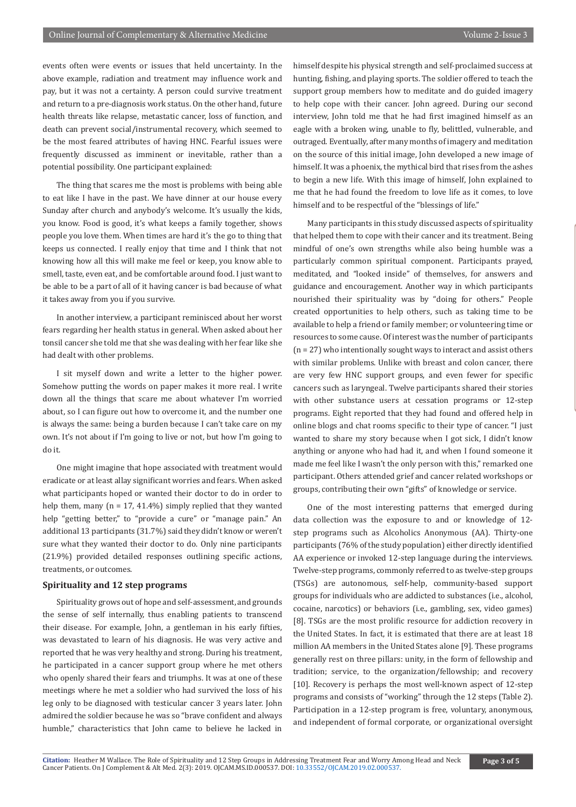events often were events or issues that held uncertainty. In the above example, radiation and treatment may influence work and pay, but it was not a certainty. A person could survive treatment and return to a pre-diagnosis work status. On the other hand, future health threats like relapse, metastatic cancer, loss of function, and death can prevent social/instrumental recovery, which seemed to be the most feared attributes of having HNC. Fearful issues were frequently discussed as imminent or inevitable, rather than a potential possibility. One participant explained:

The thing that scares me the most is problems with being able to eat like I have in the past. We have dinner at our house every Sunday after church and anybody's welcome. It's usually the kids, you know. Food is good, it's what keeps a family together, shows people you love them. When times are hard it's the go to thing that keeps us connected. I really enjoy that time and I think that not knowing how all this will make me feel or keep, you know able to smell, taste, even eat, and be comfortable around food. I just want to be able to be a part of all of it having cancer is bad because of what it takes away from you if you survive.

In another interview, a participant reminisced about her worst fears regarding her health status in general. When asked about her tonsil cancer she told me that she was dealing with her fear like she had dealt with other problems.

I sit myself down and write a letter to the higher power. Somehow putting the words on paper makes it more real. I write down all the things that scare me about whatever I'm worried about, so I can figure out how to overcome it, and the number one is always the same: being a burden because I can't take care on my own. It's not about if I'm going to live or not, but how I'm going to do it.

One might imagine that hope associated with treatment would eradicate or at least allay significant worries and fears. When asked what participants hoped or wanted their doctor to do in order to help them, many ( $n = 17, 41.4\%$ ) simply replied that they wanted help "getting better," to "provide a cure" or "manage pain." An additional 13 participants (31.7%) said they didn't know or weren't sure what they wanted their doctor to do. Only nine participants (21.9%) provided detailed responses outlining specific actions, treatments, or outcomes.

#### **Spirituality and 12 step programs**

Spirituality grows out of hope and self-assessment, and grounds the sense of self internally, thus enabling patients to transcend their disease. For example, John, a gentleman in his early fifties, was devastated to learn of his diagnosis. He was very active and reported that he was very healthy and strong. During his treatment, he participated in a cancer support group where he met others who openly shared their fears and triumphs. It was at one of these meetings where he met a soldier who had survived the loss of his leg only to be diagnosed with testicular cancer 3 years later. John admired the soldier because he was so "brave confident and always humble," characteristics that John came to believe he lacked in

himself despite his physical strength and self-proclaimed success at hunting, fishing, and playing sports. The soldier offered to teach the support group members how to meditate and do guided imagery to help cope with their cancer. John agreed. During our second interview, John told me that he had first imagined himself as an eagle with a broken wing, unable to fly, belittled, vulnerable, and outraged. Eventually, after many months of imagery and meditation on the source of this initial image, John developed a new image of himself. It was a phoenix, the mythical bird that rises from the ashes to begin a new life. With this image of himself, John explained to me that he had found the freedom to love life as it comes, to love himself and to be respectful of the "blessings of life."

Many participants in this study discussed aspects of spirituality that helped them to cope with their cancer and its treatment. Being mindful of one's own strengths while also being humble was a particularly common spiritual component. Participants prayed, meditated, and "looked inside" of themselves, for answers and guidance and encouragement. Another way in which participants nourished their spirituality was by "doing for others." People created opportunities to help others, such as taking time to be available to help a friend or family member; or volunteering time or resources to some cause. Of interest was the number of participants (n = 27) who intentionally sought ways to interact and assist others with similar problems. Unlike with breast and colon cancer, there are very few HNC support groups, and even fewer for specific cancers such as laryngeal. Twelve participants shared their stories with other substance users at cessation programs or 12-step programs. Eight reported that they had found and offered help in online blogs and chat rooms specific to their type of cancer. "I just wanted to share my story because when I got sick, I didn't know anything or anyone who had had it, and when I found someone it made me feel like I wasn't the only person with this," remarked one participant. Others attended grief and cancer related workshops or groups, contributing their own "gifts" of knowledge or service.

One of the most interesting patterns that emerged during data collection was the exposure to and or knowledge of 12 step programs such as Alcoholics Anonymous (AA). Thirty-one participants (76% of the study population) either directly identified AA experience or invoked 12-step language during the interviews. Twelve-step programs, commonly referred to as twelve-step groups (TSGs) are autonomous, self-help, community-based support groups for individuals who are addicted to substances (i.e., alcohol, cocaine, narcotics) or behaviors (i.e., gambling, sex, video games) [8]. TSGs are the most prolific resource for addiction recovery in the United States. In fact, it is estimated that there are at least 18 million AA members in the United States alone [9]. These programs generally rest on three pillars: unity, in the form of fellowship and tradition; service, to the organization/fellowship; and recovery [10]. Recovery is perhaps the most well-known aspect of 12-step programs and consists of "working" through the 12 steps (Table 2). Participation in a 12-step program is free, voluntary, anonymous, and independent of formal corporate, or organizational oversight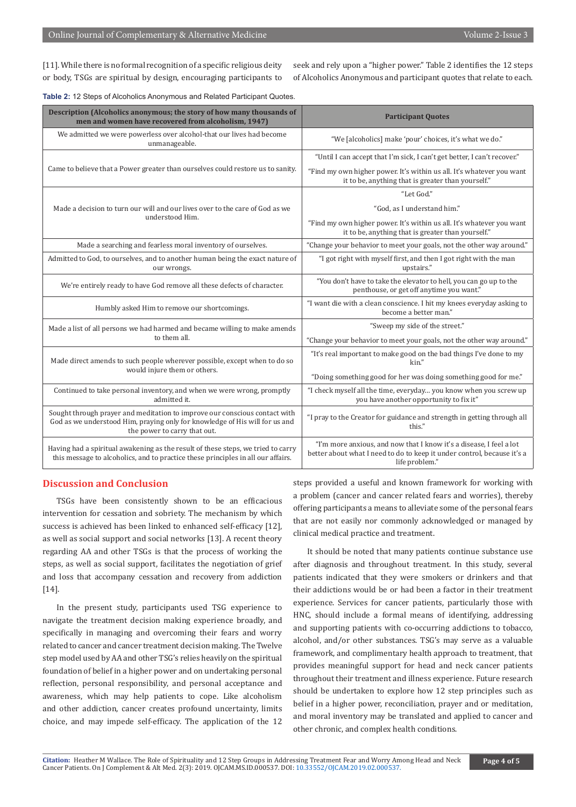[11]. While there is no formal recognition of a specific religious deity or body, TSGs are spiritual by design, encouraging participants to

seek and rely upon a "higher power." Table 2 identifies the 12 steps of Alcoholics Anonymous and participant quotes that relate to each.

| Description (Alcoholics anonymous; the story of how many thousands of<br>men and women have recovered from alcoholism, 1947)                                                              | <b>Participant Quotes</b>                                                                                                                                        |
|-------------------------------------------------------------------------------------------------------------------------------------------------------------------------------------------|------------------------------------------------------------------------------------------------------------------------------------------------------------------|
| We admitted we were powerless over alcohol-that our lives had become<br>unmanageable.                                                                                                     | "We [alcoholics] make 'pour' choices, it's what we do."                                                                                                          |
| Came to believe that a Power greater than ourselves could restore us to sanity.                                                                                                           | "Until I can accept that I'm sick, I can't get better, I can't recover."                                                                                         |
|                                                                                                                                                                                           | "Find my own higher power. It's within us all. It's whatever you want<br>it to be, anything that is greater than yourself."                                      |
| Made a decision to turn our will and our lives over to the care of God as we<br>understood Him.                                                                                           | "Let God."                                                                                                                                                       |
|                                                                                                                                                                                           | "God, as I understand him."                                                                                                                                      |
|                                                                                                                                                                                           | "Find my own higher power. It's within us all. It's whatever you want<br>it to be, anything that is greater than yourself."                                      |
| Made a searching and fearless moral inventory of ourselves.                                                                                                                               | "Change your behavior to meet your goals, not the other way around."                                                                                             |
| Admitted to God, to ourselves, and to another human being the exact nature of<br>our wrongs.                                                                                              | "I got right with myself first, and then I got right with the man<br>upstairs."                                                                                  |
| We're entirely ready to have God remove all these defects of character.                                                                                                                   | "You don't have to take the elevator to hell, you can go up to the<br>penthouse, or get off anytime you want."                                                   |
| Humbly asked Him to remove our shortcomings.                                                                                                                                              | "I want die with a clean conscience. I hit my knees everyday asking to<br>become a better man."                                                                  |
| Made a list of all persons we had harmed and became willing to make amends<br>to them all.                                                                                                | "Sweep my side of the street."                                                                                                                                   |
|                                                                                                                                                                                           | "Change your behavior to meet your goals, not the other way around."                                                                                             |
| Made direct amends to such people wherever possible, except when to do so<br>would injure them or others.                                                                                 | "It's real important to make good on the bad things I've done to my<br>kin."                                                                                     |
|                                                                                                                                                                                           | "Doing something good for her was doing something good for me."                                                                                                  |
| Continued to take personal inventory, and when we were wrong, promptly<br>admitted it.                                                                                                    | "I check myself all the time, everyday you know when you screw up<br>you have another opportunity to fix it"                                                     |
| Sought through prayer and meditation to improve our conscious contact with<br>God as we understood Him, praying only for knowledge of His will for us and<br>the power to carry that out. | "I pray to the Creator for guidance and strength in getting through all<br>this."                                                                                |
| Having had a spiritual awakening as the result of these steps, we tried to carry<br>this message to alcoholics, and to practice these principles in all our affairs.                      | "I'm more anxious, and now that I know it's a disease, I feel a lot<br>better about what I need to do to keep it under control, because it's a<br>life problem." |

**Table 2:** 12 Steps of Alcoholics Anonymous and Related Participant Quotes.

#### **Discussion and Conclusion**

TSGs have been consistently shown to be an efficacious intervention for cessation and sobriety. The mechanism by which success is achieved has been linked to enhanced self-efficacy [12], as well as social support and social networks [13]. A recent theory regarding AA and other TSGs is that the process of working the steps, as well as social support, facilitates the negotiation of grief and loss that accompany cessation and recovery from addiction [14].

In the present study, participants used TSG experience to navigate the treatment decision making experience broadly, and specifically in managing and overcoming their fears and worry related to cancer and cancer treatment decision making. The Twelve step model used by AA and other TSG's relies heavily on the spiritual foundation of belief in a higher power and on undertaking personal reflection, personal responsibility, and personal acceptance and awareness, which may help patients to cope. Like alcoholism and other addiction, cancer creates profound uncertainty, limits choice, and may impede self-efficacy. The application of the 12 steps provided a useful and known framework for working with a problem (cancer and cancer related fears and worries), thereby offering participants a means to alleviate some of the personal fears that are not easily nor commonly acknowledged or managed by clinical medical practice and treatment.

It should be noted that many patients continue substance use after diagnosis and throughout treatment. In this study, several patients indicated that they were smokers or drinkers and that their addictions would be or had been a factor in their treatment experience. Services for cancer patients, particularly those with HNC, should include a formal means of identifying, addressing and supporting patients with co-occurring addictions to tobacco, alcohol, and/or other substances. TSG's may serve as a valuable framework, and complimentary health approach to treatment, that provides meaningful support for head and neck cancer patients throughout their treatment and illness experience. Future research should be undertaken to explore how 12 step principles such as belief in a higher power, reconciliation, prayer and or meditation, and moral inventory may be translated and applied to cancer and other chronic, and complex health conditions.